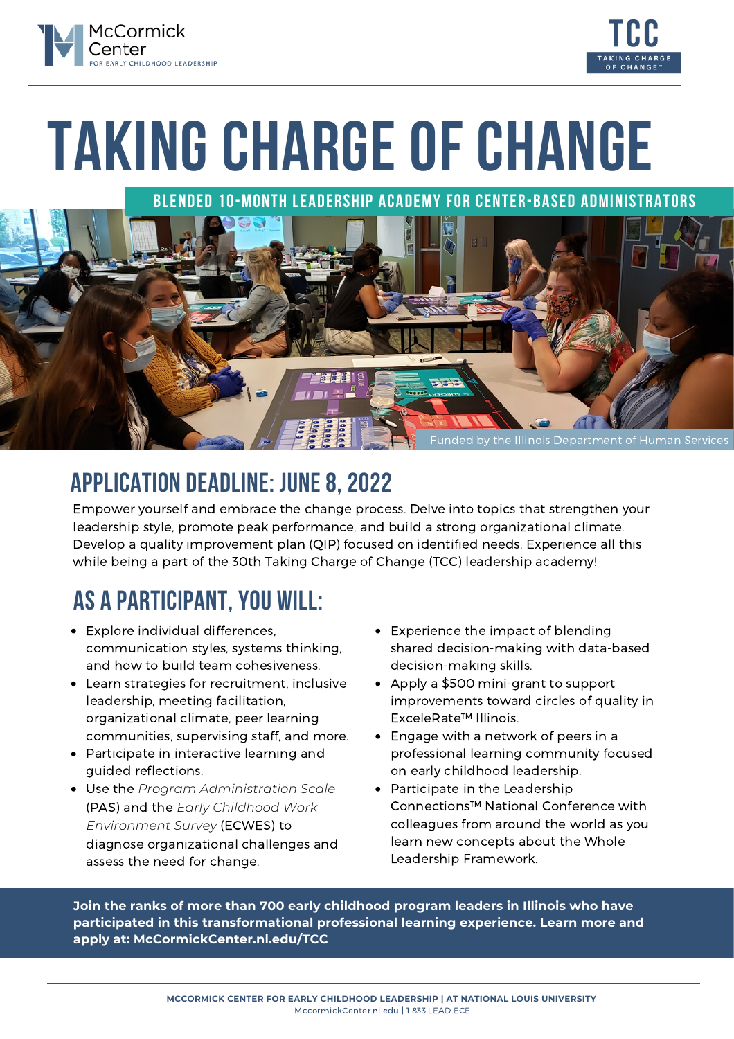



# **TAKING CHARGE OF CHANGE**

**Blended 10-month Leadership Academy for Center-Based Administrators**



## **APPLICATION DEADLINE: JUNE8,2022**

Empower yourself and embrace the change process. Delve into topics that strengthen your leadership style, promote peak performance, and build a strong organizational climate. Develop a quality improvement plan (QIP) focused on identified needs. Experience all this while being a part of the 30th Taking Charge of Change (TCC) leadership academy!

## **AS A PARTICIPANT,YOU WILL:**

- Explore individual differences, communication styles, systems thinking, and how to build team cohesiveness.
- Learn strategies for recruitment, inclusive leadership, meeting facilitation, organizational climate, peer learning communities, supervising staff, and more.
- Participate in interactive learning and guided reflections.
- Use the *Program Administration Scale* (PAS) and the *Early Childhood Work Environment Survey* (ECWES) to diagnose organizational challenges and assess the need for change.
- Experience the impact of blending shared decision-making with data-based decision-making skills.
- Apply a \$500 mini-grant to support improvements toward circles of quality in ExceleRate™ Illinois.
- Engage with a network of peers in a professional learning community focused on early childhood leadership.
- Participate in the Leadership Connections™ National Conference with colleagues from around the world as you learn new concepts about the Whole Leadership Framework.

**Join the ranks of more than 700 early childhood program leaders in Illinois who have participated in this transformational professional learning experience. Learn more and apply at: [McCormickCenter.nl.edu/TCC](https://mccormickcenter.nl.edu/tcc)**